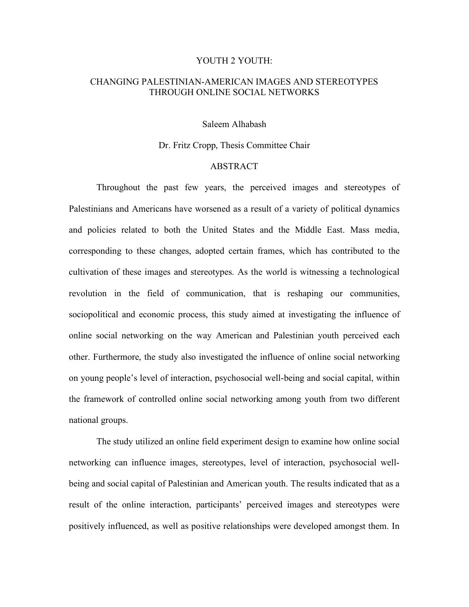## YOUTH 2 YOUTH:

## CHANGING PALESTINIAN-AMERICAN IMAGES AND STEREOTYPES THROUGH ONLINE SOCIAL NETWORKS

Saleem Alhabash

## Dr. Fritz Cropp, Thesis Committee Chair

## ABSTRACT

Throughout the past few years, the perceived images and stereotypes of Palestinians and Americans have worsened as a result of a variety of political dynamics and policies related to both the United States and the Middle East. Mass media, corresponding to these changes, adopted certain frames, which has contributed to the cultivation of these images and stereotypes. As the world is witnessing a technological revolution in the field of communication, that is reshaping our communities, sociopolitical and economic process, this study aimed at investigating the influence of online social networking on the way American and Palestinian youth perceived each other. Furthermore, the study also investigated the influence of online social networking on young people's level of interaction, psychosocial well-being and social capital, within the framework of controlled online social networking among youth from two different national groups.

The study utilized an online field experiment design to examine how online social networking can influence images, stereotypes, level of interaction, psychosocial wellbeing and social capital of Palestinian and American youth. The results indicated that as a result of the online interaction, participants' perceived images and stereotypes were positively influenced, as well as positive relationships were developed amongst them. In